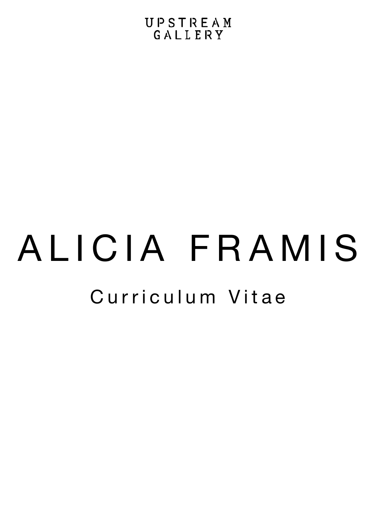# Curriculum Vitae ALICIA FRAMIS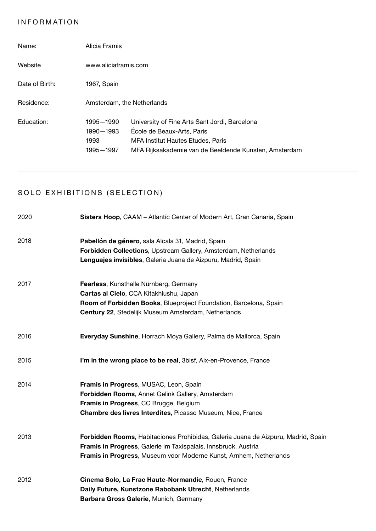# INFORMATION

| Name:          | Alicia Framis                               |                                                                                                                                                                           |
|----------------|---------------------------------------------|---------------------------------------------------------------------------------------------------------------------------------------------------------------------------|
| Website        | www.aliciaframis.com                        |                                                                                                                                                                           |
| Date of Birth: | 1967, Spain                                 |                                                                                                                                                                           |
| Residence:     | Amsterdam, the Netherlands                  |                                                                                                                                                                           |
| Education:     | 1995-1990<br>1990-1993<br>1993<br>1995-1997 | University of Fine Arts Sant Jordi, Barcelona<br>École de Beaux-Arts, Paris<br>MFA Institut Hautes Etudes, Paris<br>MFA Rijksakademie van de Beeldende Kunsten, Amsterdam |

# SOLO EXHIBITIONS (SELECTION)

| 2020 | Sisters Hoop, CAAM - Atlantic Center of Modern Art, Gran Canaria, Spain           |
|------|-----------------------------------------------------------------------------------|
| 2018 | Pabellón de género, sala Alcala 31, Madrid, Spain                                 |
|      | Forbidden Collections, Upstream Gallery, Amsterdam, Netherlands                   |
|      | Lenguajes invisibles, Galeria Juana de Aizpuru, Madrid, Spain                     |
| 2017 | Fearless, Kunsthalle Nürnberg, Germany                                            |
|      | Cartas al Cielo, CCA Kitakhiushu, Japan                                           |
|      | Room of Forbidden Books, Blueproject Foundation, Barcelona, Spain                 |
|      | Century 22, Stedelijk Museum Amsterdam, Netherlands                               |
| 2016 | Everyday Sunshine, Horrach Moya Gallery, Palma de Mallorca, Spain                 |
| 2015 | I'm in the wrong place to be real, 3bisf, Aix-en-Provence, France                 |
| 2014 | Framis in Progress, MUSAC, Leon, Spain                                            |
|      | Forbidden Rooms, Annet Gelink Gallery, Amsterdam                                  |
|      | Framis in Progress, CC Brugge, Belgium                                            |
|      | Chambre des livres Interdites, Picasso Museum, Nice, France                       |
| 2013 | Forbidden Rooms, Habitaciones Prohibidas, Galeria Juana de Aizpuru, Madrid, Spain |
|      | Framis in Progress, Galerie im Taxispalais, Innsbruck, Austria                    |
|      | Framis in Progress, Museum voor Moderne Kunst, Arnhem, Netherlands                |
| 2012 | Cinema Solo, La Frac Haute-Normandie, Rouen, France                               |
|      | Daily Future, Kunstzone Rabobank Utrecht, Netherlands                             |
|      | Barbara Gross Galerie, Munich, Germany                                            |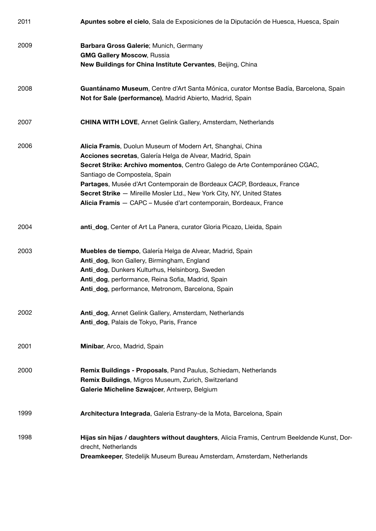| 2011 | Apuntes sobre el cielo, Sala de Exposiciones de la Diputación de Huesca, Huesca, Spain                                                            |
|------|---------------------------------------------------------------------------------------------------------------------------------------------------|
| 2009 | Barbara Gross Galerie; Munich, Germany<br><b>GMG Gallery Moscow, Russia</b>                                                                       |
|      | New Buildings for China Institute Cervantes, Beijing, China                                                                                       |
| 2008 | Guantánamo Museum, Centre d'Art Santa Mónica, curator Montse Badía, Barcelona, Spain<br>Not for Sale (performance), Madrid Abierto, Madrid, Spain |
| 2007 | <b>CHINA WITH LOVE, Annet Gelink Gallery, Amsterdam, Netherlands</b>                                                                              |
| 2006 | Alicia Framis, Duolun Museum of Modern Art, Shanghai, China                                                                                       |
|      | Acciones secretas, Galería Helga de Alvear, Madrid, Spain                                                                                         |
|      | Secret Strike: Archivo momentos, Centro Galego de Arte Contemporáneo CGAC,<br>Santiago de Compostela, Spain                                       |
|      | Partages, Musée d'Art Contemporain de Bordeaux CACP, Bordeaux, France                                                                             |
|      | Secret Strike - Mireille Mosler Ltd., New York City, NY, United States                                                                            |
|      | Alicia Framis - CAPC - Musée d'art contemporain, Bordeaux, France                                                                                 |
| 2004 | anti_dog, Center of Art La Panera, curator Gloria Picazo, Lleida, Spain                                                                           |
| 2003 | Muebles de tiempo, Galería Helga de Alvear, Madrid, Spain                                                                                         |
|      | Anti_dog, Ikon Gallery, Birmingham, England                                                                                                       |
|      | Anti_dog, Dunkers Kulturhus, Helsinborg, Sweden                                                                                                   |
|      | Anti_dog, performance, Reina Sofia, Madrid, Spain                                                                                                 |
|      | Anti_dog, performance, Metronom, Barcelona, Spain                                                                                                 |
| 2002 | Anti_dog, Annet Gelink Gallery, Amsterdam, Netherlands                                                                                            |
|      | Anti_dog, Palais de Tokyo, Paris, France                                                                                                          |
| 2001 | Minibar, Arco, Madrid, Spain                                                                                                                      |
| 2000 | Remix Buildings - Proposals, Pand Paulus, Schiedam, Netherlands                                                                                   |
|      | Remix Buildings, Migros Museum, Zurich, Switzerland<br>Galerie Micheline Szwajcer, Antwerp, Belgium                                               |
| 1999 | Architectura Integrada, Galeria Estrany-de la Mota, Barcelona, Spain                                                                              |
|      |                                                                                                                                                   |
| 1998 | Hijas sin hijas / daughters without daughters, Alicia Framis, Centrum Beeldende Kunst, Dor-<br>drecht, Netherlands                                |
|      | Dreamkeeper, Stedelijk Museum Bureau Amsterdam, Amsterdam, Netherlands                                                                            |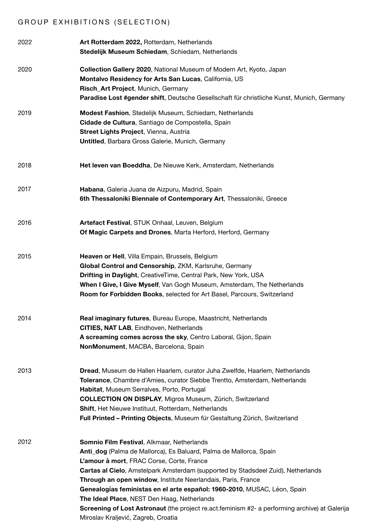# GROUP EXHIBITIONS (SELECTION)

| 2022 | Art Rotterdam 2022, Rotterdam, Netherlands<br>Stedelijk Museum Schiedam, Schiedam, Netherlands                                                                                                                                                                                                                                                                                                                                                                                                                                                                                                      |
|------|-----------------------------------------------------------------------------------------------------------------------------------------------------------------------------------------------------------------------------------------------------------------------------------------------------------------------------------------------------------------------------------------------------------------------------------------------------------------------------------------------------------------------------------------------------------------------------------------------------|
| 2020 | Collection Gallery 2020, National Museum of Modern Art, Kyoto, Japan<br>Montalvo Residency for Arts San Lucas, California, US<br>Risch_Art Project, Munich, Germany<br>Paradise Lost #gender shift, Deutsche Gesellschaft für christliche Kunst, Munich, Germany                                                                                                                                                                                                                                                                                                                                    |
| 2019 | Modest Fashion, Stedelijk Museum, Schiedam, Netherlands<br>Cidade de Cultura, Santiago de Compostella, Spain<br>Street Lights Project, Vienna, Austria<br>Untitled, Barbara Gross Galerie, Munich, Germany                                                                                                                                                                                                                                                                                                                                                                                          |
| 2018 | Het leven van Boeddha, De Nieuwe Kerk, Amsterdam, Netherlands                                                                                                                                                                                                                                                                                                                                                                                                                                                                                                                                       |
| 2017 | Habana, Galeria Juana de Aizpuru, Madrid, Spain<br>6th Thessaloniki Biennale of Contemporary Art, Thessaloniki, Greece                                                                                                                                                                                                                                                                                                                                                                                                                                                                              |
| 2016 | Artefact Festival, STUK Onhaal, Leuven, Belgium<br>Of Magic Carpets and Drones, Marta Herford, Herford, Germany                                                                                                                                                                                                                                                                                                                                                                                                                                                                                     |
| 2015 | Heaven or Hell, Villa Empain, Brussels, Belgium<br>Global Control and Censorship, ZKM, Karlsruhe, Germany<br>Drifting in Daylight, CreativeTime, Central Park, New York, USA<br>When I Give, I Give Myself, Van Gogh Museum, Amsterdam, The Netherlands<br>Room for Forbidden Books, selected for Art Basel, Parcours, Switzerland                                                                                                                                                                                                                                                                  |
| 2014 | Real imaginary futures, Bureau Europe, Maastricht, Netherlands<br>CITIES, NAT LAB, Eindhoven, Netherlands<br>A screaming comes across the sky, Centro Laboral, Gijon, Spain<br>NonMonument, MACBA, Barcelona, Spain                                                                                                                                                                                                                                                                                                                                                                                 |
| 2013 | Dread, Museum de Hallen Haarlem, curator Juha Zwelfde, Haarlem, Netherlands<br>Tolerance, Chambre d'Amies, curator Siebbe Trentto, Amsterdam, Netherlands<br>Habitat, Museum Serralves, Porto, Portugal<br><b>COLLECTION ON DISPLAY, Migros Museum, Zürich, Switzerland</b><br><b>Shift, Het Nieuwe Instituut, Rotterdam, Netherlands</b><br>Full Printed - Printing Objects, Museum für Gestaltung Zürich, Switzerland                                                                                                                                                                             |
| 2012 | Somnio Film Festival, Alkmaar, Netherlands<br>Anti_dog (Palma de Mallorca), Es Baluard, Palma de Mallorca, Spain<br>L'amour à mort, FRAC Corse, Corte, France<br><b>Cartas al Cielo, Amstelpark Amsterdam (supported by Stadsdeel Zuid), Netherlands</b><br>Through an open window, Institute Neerlandais, Paris, France<br>Genealogías feministas en el arte español: 1960-2010, MUSAC, Léon, Spain<br>The Ideal Place, NEST Den Haag, Netherlands<br><b>Screening of Lost Astronaut</b> (the project re.act.feminism #2- a performing archive) at Galerija<br>Miroslav Kraljević, Zagreb, Croatia |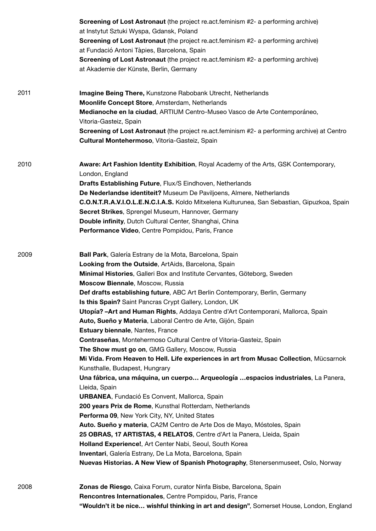|      | <b>Screening of Lost Astronaut</b> (the project re.act.feminism #2- a performing archive)                                                        |
|------|--------------------------------------------------------------------------------------------------------------------------------------------------|
|      | at Instytut Sztuki Wyspa, Gdansk, Poland                                                                                                         |
|      | Screening of Lost Astronaut (the project re.act.feminism #2- a performing archive)                                                               |
|      | at Fundació Antoni Tàpies, Barcelona, Spain                                                                                                      |
|      | <b>Screening of Lost Astronaut</b> (the project re.act.feminism #2- a performing archive)                                                        |
|      | at Akademie der Künste, Berlin, Germany                                                                                                          |
| 2011 | Imagine Being There, Kunstzone Rabobank Utrecht, Netherlands                                                                                     |
|      | Moonlife Concept Store, Amsterdam, Netherlands                                                                                                   |
|      | Medianoche en la ciudad, ARTIUM Centro-Museo Vasco de Arte Contemporáneo,                                                                        |
|      | Vitoria-Gasteiz, Spain                                                                                                                           |
|      | Screening of Lost Astronaut (the project re.act.feminism #2- a performing archive) at Centro                                                     |
|      | Cultural Montehermoso, Vitoria-Gasteiz, Spain                                                                                                    |
| 2010 | Aware: Art Fashion Identity Exhibition, Royal Academy of the Arts, GSK Contemporary,                                                             |
|      | London, England                                                                                                                                  |
|      | Drafts Establishing Future, Flux/S Eindhoven, Netherlands                                                                                        |
|      | De Nederlandse identiteit? Museum De Paviljoens, Almere, Netherlands                                                                             |
|      | C.O.N.T.R.A.V.I.O.L.E.N.C.I.A.S. Koldo Mitxelena Kulturunea, San Sebastian, Gipuzkoa, Spain                                                      |
|      | Secret Strikes, Sprengel Museum, Hannover, Germany                                                                                               |
|      | Double infinity, Dutch Cultural Center, Shanghai, China                                                                                          |
|      | Performance Video, Centre Pompidou, Paris, France                                                                                                |
| 2009 | Ball Park, Galería Estrany de la Mota, Barcelona, Spain                                                                                          |
|      | Looking from the Outside, ArtAids, Barcelona, Spain                                                                                              |
|      | Minimal Histories, Galleri Box and Institute Cervantes, Göteborg, Sweden                                                                         |
|      | Moscow Biennale, Moscow, Russia                                                                                                                  |
|      | Def drafts establishing future, ABC Art Berlin Contemporary, Berlin, Germany                                                                     |
|      | Is this Spain? Saint Pancras Crypt Gallery, London, UK                                                                                           |
|      | Utopía? - Art and Human Rights, Addaya Centre d'Art Contemporani, Mallorca, Spain<br>Auto, Sueño y Materia, Laboral Centro de Arte, Gijón, Spain |
|      | <b>Estuary biennale, Nantes, France</b>                                                                                                          |
|      | Contraseñas, Montehermoso Cultural Centre of Vitoria-Gasteiz, Spain                                                                              |
|      | The Show must go on, GMG Gallery, Moscow, Russia                                                                                                 |
|      | Mi Vida. From Heaven to Hell. Life experiences in art from Musac Collection, Mücsarnok                                                           |
|      | Kunsthalle, Budapest, Hungrary                                                                                                                   |
|      | Una fábrica, una máquina, un cuerpo Arqueología espacios industriales, La Panera,<br>Lleida, Spain                                               |
|      | <b>URBANEA, Fundació Es Convent, Mallorca, Spain</b>                                                                                             |
|      | 200 years Prix de Rome, Kunsthal Rotterdam, Netherlands                                                                                          |
|      | <b>Performa 09, New York City, NY, United States</b>                                                                                             |
|      | Auto. Sueño y materia, CA2M Centro de Arte Dos de Mayo, Móstoles, Spain                                                                          |
|      | 25 OBRAS, 17 ARTISTAS, 4 RELATOS, Centre d'Art la Panera, Lleida, Spain                                                                          |
|      | Holland Experience!, Art Center Nabi, Seoul, South Korea                                                                                         |
|      | Inventari, Galería Estrany, De La Mota, Barcelona, Spain                                                                                         |
|      | Nuevas Historias. A New View of Spanish Photography, Stenersenmuseet, Oslo, Norway                                                               |
| 2008 | Zonas de Riesgo, Caixa Forum, curator Ninfa Bisbe, Barcelona, Spain                                                                              |
|      | Rencontres Internationales, Centre Pompidou, Paris, France                                                                                       |
|      | "Wouldn't it be nice wishful thinking in art and design", Somerset House, London, England                                                        |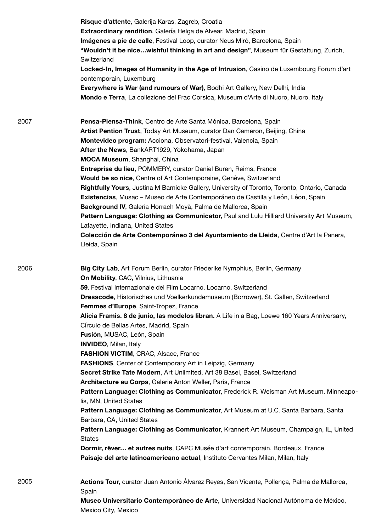|      | Risque d'attente, Galerija Karas, Zagreb, Croatia<br>Extraordinary rendition, Galería Helga de Alvear, Madrid, Spain<br>Imágenes a pie de calle, Festival Loop, curator Neus Miró, Barcelona, Spain<br>"Wouldn't it be nicewishful thinking in art and design", Museum für Gestaltung, Zurich,<br>Switzerland<br>Locked-In, Images of Humanity in the Age of Intrusion, Casino de Luxembourg Forum d'art<br>contemporain, Luxemburg<br>Everywhere is War (and rumours of War), Bodhi Art Gallery, New Delhi, India<br>Mondo e Terra, La collezione del Frac Corsica, Museum d'Arte di Nuoro, Nuoro, Italy                                                                                                                                                                                                                                                                                                                                                                                                                                                                                                                                                                                                                                                                                                          |
|------|--------------------------------------------------------------------------------------------------------------------------------------------------------------------------------------------------------------------------------------------------------------------------------------------------------------------------------------------------------------------------------------------------------------------------------------------------------------------------------------------------------------------------------------------------------------------------------------------------------------------------------------------------------------------------------------------------------------------------------------------------------------------------------------------------------------------------------------------------------------------------------------------------------------------------------------------------------------------------------------------------------------------------------------------------------------------------------------------------------------------------------------------------------------------------------------------------------------------------------------------------------------------------------------------------------------------|
| 2007 | Pensa-Piensa-Think, Centro de Arte Santa Mónica, Barcelona, Spain<br>Artist Pention Trust, Today Art Museum, curator Dan Cameron, Beijing, China<br>Montevideo program: Acciona, Observatori-festival, Valencia, Spain<br>After the News, BankART1929, Yokohama, Japan<br>MOCA Museum, Shanghai, China<br><b>Entreprise du lieu, POMMERY, curator Daniel Buren, Reims, France</b><br>Would be so nice, Centre of Art Contemporaine, Genève, Switzerland<br>Rightfully Yours, Justina M Barnicke Gallery, University of Toronto, Toronto, Ontario, Canada<br>Existencias, Musac – Museo de Arte Contemporáneo de Castilla y León, Léon, Spain<br>Background IV, Galería Horrach Moyà, Palma de Mallorca, Spain<br>Pattern Language: Clothing as Communicator, Paul and Lulu Hilliard University Art Museum,<br>Lafayette, Indiana, United States<br>Colección de Arte Contemporáneo 3 del Ayuntamiento de Lleida, Centre d'Art la Panera,<br>Lleida, Spain                                                                                                                                                                                                                                                                                                                                                          |
| 2006 | <b>Big City Lab, Art Forum Berlin, curator Friederike Nymphius, Berlin, Germany</b><br>On Mobility, CAC, Vilnius, Lithuania<br>59, Festival Internazionale del Film Locarno, Locarno, Switzerland<br>Dresscode, Historisches und Voelkerkundemuseum (Borrower), St. Gallen, Switzerland<br>Femmes d'Europe, Saint-Tropez, France<br>Alicia Framis. 8 de junio, las modelos libran. A Life in a Bag, Loewe 160 Years Anniversary,<br>Círculo de Bellas Artes, Madrid, Spain<br>Fusión, MUSAC, León, Spain<br>INVIDEO, Milan, Italy<br>FASHION VICTIM, CRAC, Alsace, France<br><b>FASHIONS, Center of Contemporary Art in Leipzig, Germany</b><br>Secret Strike Tate Modern, Art Unlimited, Art 38 Basel, Basel, Switzerland<br>Architecture au Corps, Galerie Anton Weller, Paris, France<br>Pattern Language: Clothing as Communicator, Frederick R. Weisman Art Museum, Minneapo-<br>lis, MN, United States<br>Pattern Language: Clothing as Communicator, Art Museum at U.C. Santa Barbara, Santa<br>Barbara, CA, United States<br>Pattern Language: Clothing as Communicator, Krannert Art Museum, Champaign, IL, United<br><b>States</b><br>Dormir, rêver et autres nuits, CAPC Musée d'art contemporain, Bordeaux, France<br>Paisaje del arte latinoamericano actual, Instituto Cervantes Milan, Milan, Italy |
| 2005 | Actions Tour, curator Juan Antonio Álvarez Reyes, San Vicente, Pollença, Palma de Mallorca,<br>Spain<br>Museo Universitario Contemporáneo de Arte, Universidad Nacional Autónoma de México,<br>Mexico City, Mexico                                                                                                                                                                                                                                                                                                                                                                                                                                                                                                                                                                                                                                                                                                                                                                                                                                                                                                                                                                                                                                                                                                 |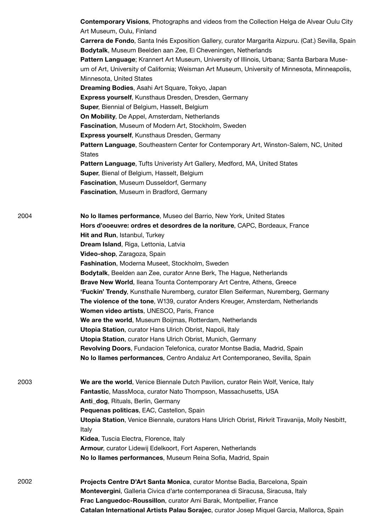**No lo llames performance**, Museo del Barrio, New York, United States **Hors d'ooeuvre: ordres et desordres de la noriture**, CAPC, Bordeaux, France **Hit and Run**, Istanbul, Turkey **Dream Island**, Riga, Lettonia, Latvia **Video-shop**, Zaragoza, Spain **Fashination**, Moderna Museet, Stockholm, Sweden **Bodytalk**, Beelden aan Zee, curator Anne Berk, The Hague, Netherlands **Brave New World**, Ileana Tounta Contemporary Art Centre, Athens, Greece **'Fuckin' Trendy**, Kunsthalle Nuremberg, curator Ellen Seiferman, Nuremberg, Germany **The violence of the tone**, W139, curator Anders Kreuger, Amsterdam, Netherlands **Women video artists**, UNESCO, Paris, France **We are the world**, Museum Boijmas, Rotterdam, Netherlands **Utopia Station**, curator Hans Ulrich Obrist, Napoli, Italy **Utopia Station**, curator Hans Ulrich Obrist, Munich, Germany **Revolving Doors**, Fundacion Telefonica, curator Montse Badia, Madrid, Spain **No lo llames performances**, Centro Andaluz Art Contemporaneo, Sevilla, Spain **We are the world**, Venice Biennale Dutch Pavilion, curator Rein Wolf, Venice, Italy **Fantastic**, MassMoca, curator Nato Thompson, Massachusetts, USA **Anti\_dog**, Rituals, Berlin, Germany **Pequenas politicas**, EAC, Castellon, Spain **Utopia Station**, Venice Biennale, curators Hans Ulrich Obrist, Rirkrit Tiravanija, Molly Nesbitt, Italy **Kidea**, Tuscia Electra, Florence, Italy **Armour**, curator Lidewij Edelkoort, Fort Asperen, Netherlands **No lo llames performances**, Museum Reina Sofia, Madrid, Spain 2004 2003 **Contemporary Visions**, Photographs and videos from the Collection Helga de Alvear Oulu City Art Museum, Oulu, Finland **Carrera de Fondo**, Santa Inés Exposition Gallery, curator Margarita Aizpuru. (Cat.) Sevilla, Spain **Bodytalk**, Museum Beelden aan Zee, El Cheveningen, Netherlands **Pattern Language**; Krannert Art Museum, University of Illinois, Urbana; Santa Barbara Museum of Art, University of California; Weisman Art Museum, University of Minnesota, Minneapolis, Minnesota, United States **Dreaming Bodies**, Asahi Art Square, Tokyo, Japan **Express yourself**, Kunsthaus Dresden, Dresden, Germany **Super**, Biennial of Belgium, Hasselt, Belgium **On Mobility**, De Appel, Amsterdam, Netherlands **Fascination**, Museum of Modern Art, Stockholm, Sweden **Express yourself**, Kunsthaus Dresden, Germany **Pattern Language**, Southeastern Center for Contemporary Art, Winston-Salem, NC, United **States Pattern Language**, Tufts Univeristy Art Gallery, Medford, MA, United States **Super**, Bienal of Belgium, Hasselt, Belgium **Fascination**, Museum Dusseldorf, Germany **Fascination**, Museum in Bradford, Germany **Projects Centre D'Art Santa Monica**, curator Montse Badia, Barcelona, Spain **Montevergini**, Galleria Civica d'arte contemporanea di Siracusa, Siracusa, Italy **Frac Languedoc-Roussillon**, curator Ami Barak, Montpellier, France **Catalan International Artists Palau Sorajec**, curator Josep Miquel Garcia, Mallorca, Spain 2002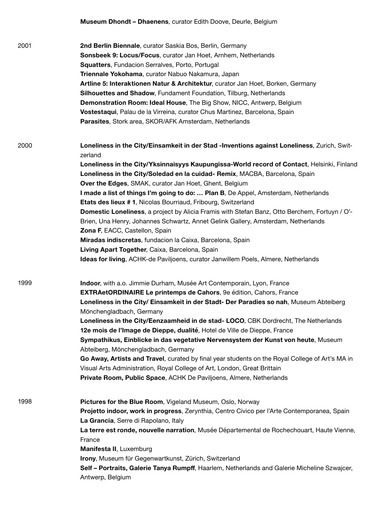|      | <b>Museum Dhondt – Dhaenens</b> , curator Edith Doove, Deurle, Belgium                                                                                                                                                                                                                                                                                                                                                                                                                                                                                                                                                                                                                                                                                                                                                                                                                                                                   |
|------|------------------------------------------------------------------------------------------------------------------------------------------------------------------------------------------------------------------------------------------------------------------------------------------------------------------------------------------------------------------------------------------------------------------------------------------------------------------------------------------------------------------------------------------------------------------------------------------------------------------------------------------------------------------------------------------------------------------------------------------------------------------------------------------------------------------------------------------------------------------------------------------------------------------------------------------|
| 2001 | 2nd Berlin Biennale, curator Saskia Bos, Berlin, Germany<br>Sonsbeek 9: Locus/Focus, curator Jan Hoet, Arnhem, Netherlands<br>Squatters, Fundacion Serralves, Porto, Portugal<br>Triennale Yokohama, curator Nabuo Nakamura, Japan<br>Artline 5: Interaktionen Natur & Architektur, curator Jan Hoet, Borken, Germany<br>Silhouettes and Shadow, Fundament Foundation, Tilburg, Netherlands<br>Demonstration Room: Ideal House, The Big Show, NICC, Antwerp, Belgium<br>Vostestaqui, Palau de la Virreina, curator Chus Martinez, Barcelona, Spain<br>Parasites, Stork area, SKOR/AFK Amsterdam, Netherlands                                                                                                                                                                                                                                                                                                                             |
| 2000 | Loneliness in the City/Einsamkeit in der Stad -Inventions against Loneliness, Zurich, Swit-<br>zerland<br>Loneliness in the City/Yksinnaisyys Kaupungissa-World record of Contact, Helsinki, Finland<br>Loneliness in the City/Soledad en la cuidad- Remix, MACBA, Barcelona, Spain<br>Over the Edges, SMAK, curator Jan Hoet, Ghent, Belgium<br>I made a list of things I'm going to do:  Plan B, De Appel, Amsterdam, Netherlands<br>Etats des lieux # 1, Nicolas Bourriaud, Fribourg, Switzerland<br>Domestic Loneliness, a project by Alicia Framis with Stefan Banz, Otto Berchem, Fortuyn / O'-<br>Brien, Una Henry, Johannes Schwartz, Annet Gelink Gallery, Amsterdam, Netherlands<br>Zona F, EACC, Castellon, Spain<br>Miradas indiscretas, fundacion la Caixa, Barcelona, Spain<br>Living Apart Together, Caixa, Barcelona, Spain<br><b>Ideas for living, ACHK-de Paviljoens, curator Janwillem Poels, Almere, Netherlands</b> |
| 1999 | Indoor, with a.o. Jimmie Durham, Musée Art Contemporain, Lyon, France<br><b>EXTRAetORDINAIRE Le printemps de Cahors</b> , 9e édition, Cahors, France<br>Loneliness in the City/ Einsamkeit in der Stadt- Der Paradies so nah, Museum Abteiberg<br>Mönchengladbach, Germany<br>Loneliness in the City/Eenzaamheid in de stad- LOCO, CBK Dordrecht, The Netherlands<br>12e mois de l'Image de Dieppe, dualité, Hotel de Ville de Dieppe, France<br>Sympathikus, Einblicke in das vegetative Nervensystem der Kunst von heute, Museum<br>Abteiberg, Mönchengladbach, Germany<br>Go Away, Artists and Travel, curated by final year students on the Royal College of Art's MA in<br>Visual Arts Administration, Royal College of Art, London, Great Brittain<br>Private Room, Public Space, ACHK De Paviljoens, Almere, Netherlands                                                                                                          |
| 1998 | Pictures for the Blue Room, Vigeland Museum, Oslo, Norway<br>Projetto indoor, work in progress, Zerynthia, Centro Civico per l'Arte Contemporanea, Spain<br>La Grancia, Serre di Rapolano, Italy<br>La terre est ronde, nouvelle narration, Musée Départemental de Rochechouart, Haute Vienne,<br>France<br>Manifesta II, Luxemburg<br>Irony, Museum für Gegenwartkunst, Zürich, Switzerland<br>Self - Portraits, Galerie Tanya Rumpff, Haarlem, Netherlands and Galerie Micheline Szwajcer,<br>Antwerp, Belgium                                                                                                                                                                                                                                                                                                                                                                                                                         |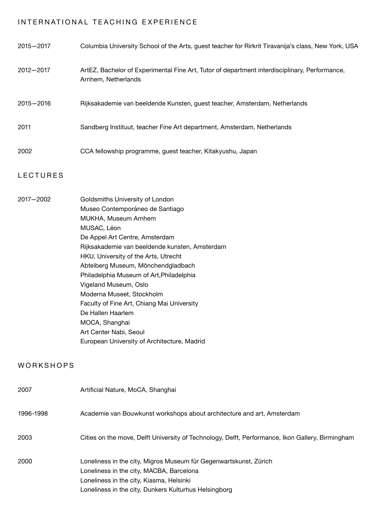# INTERNATIONAL TEACHING EXPERIENCE

| 2015-2017       | Columbia University School of the Arts, guest teacher for Rirkrit Tiravanija's class, New York, USA                                                                                                                                                                                                                                                                                                                                                                                                                                         |
|-----------------|---------------------------------------------------------------------------------------------------------------------------------------------------------------------------------------------------------------------------------------------------------------------------------------------------------------------------------------------------------------------------------------------------------------------------------------------------------------------------------------------------------------------------------------------|
| 2012-2017       | ArtEZ, Bachelor of Experimental Fine Art, Tutor of department interdisciplinary, Performance,<br>Arnhem, Netherlands                                                                                                                                                                                                                                                                                                                                                                                                                        |
| 2015-2016       | Rijksakademie van beeldende Kunsten, guest teacher, Amsterdam, Netherlands                                                                                                                                                                                                                                                                                                                                                                                                                                                                  |
| 2011            | Sandberg Instituut, teacher Fine Art department, Amsterdam, Netherlands                                                                                                                                                                                                                                                                                                                                                                                                                                                                     |
| 2002            | CCA fellowship programme, guest teacher, Kitakyushu, Japan                                                                                                                                                                                                                                                                                                                                                                                                                                                                                  |
| <b>LECTURES</b> |                                                                                                                                                                                                                                                                                                                                                                                                                                                                                                                                             |
| 2017-2002       | Goldsmiths University of London<br>Museo Contemporáneo de Santiago<br>MUKHA, Museum Arnhem<br>MUSAC, Léon<br>De Appel Art Centre, Amsterdam<br>Rijksakademie van beeldende kunsten, Amsterdam<br>HKU, University of the Arts, Utrecht<br>Abteiberg Museum, Mönchendgladbach<br>Philadelphia Museum of Art, Philadelphia<br>Vigeland Museum, Oslo<br>Moderna Museet, Stockholm<br>Faculty of Fine Art, Chiang Mai University<br>De Hallen Haarlem<br>MOCA, Shanghai<br>Art Center Nabi, Seoul<br>European University of Architecture, Madrid |
| WORKSHOPS       |                                                                                                                                                                                                                                                                                                                                                                                                                                                                                                                                             |
| 2007            | Artificial Nature, MoCA, Shanghai                                                                                                                                                                                                                                                                                                                                                                                                                                                                                                           |
| 1996-1998       | Academie van Bouwkunst workshops about architecture and art, Amsterdam                                                                                                                                                                                                                                                                                                                                                                                                                                                                      |
| 2003            | Cities on the move, Delft University of Technology, Delft, Performance, Ikon Gallery, Birmingham                                                                                                                                                                                                                                                                                                                                                                                                                                            |
| <b>POOO</b>     | Longliness in the city Migros Museum für Cegenwartskunst, Zürich                                                                                                                                                                                                                                                                                                                                                                                                                                                                            |

Loneliness in the city, Migros Museum für Gegenwartskunst, Zürich Loneliness in the city, MACBA, Barcelona Loneliness in the city, Kiasma, Helsinki Loneliness in the city, Dunkers Kulturhus Helsingborg 2000